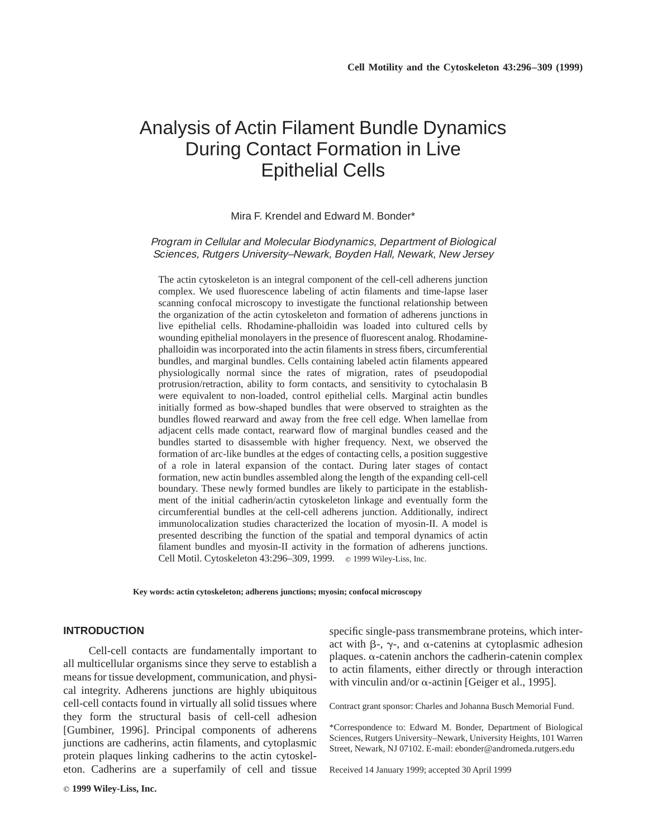# Analysis of Actin Filament Bundle Dynamics During Contact Formation in Live Epithelial Cells

## Mira F. Krendel and Edward M. Bonder\*

Program in Cellular and Molecular Biodynamics, Department of Biological Sciences, Rutgers University–Newark, Boyden Hall, Newark, New Jersey

The actin cytoskeleton is an integral component of the cell-cell adherens junction complex. We used fluorescence labeling of actin filaments and time-lapse laser scanning confocal microscopy to investigate the functional relationship between the organization of the actin cytoskeleton and formation of adherens junctions in live epithelial cells. Rhodamine-phalloidin was loaded into cultured cells by wounding epithelial monolayers in the presence of fluorescent analog. Rhodaminephalloidin was incorporated into the actin filaments in stress fibers, circumferential bundles, and marginal bundles. Cells containing labeled actin filaments appeared physiologically normal since the rates of migration, rates of pseudopodial protrusion/retraction, ability to form contacts, and sensitivity to cytochalasin B were equivalent to non-loaded, control epithelial cells. Marginal actin bundles initially formed as bow-shaped bundles that were observed to straighten as the bundles flowed rearward and away from the free cell edge. When lamellae from adjacent cells made contact, rearward flow of marginal bundles ceased and the bundles started to disassemble with higher frequency. Next, we observed the formation of arc-like bundles at the edges of contacting cells, a position suggestive of a role in lateral expansion of the contact. During later stages of contact formation, new actin bundles assembled along the length of the expanding cell-cell boundary. These newly formed bundles are likely to participate in the establishment of the initial cadherin/actin cytoskeleton linkage and eventually form the circumferential bundles at the cell-cell adherens junction. Additionally, indirect immunolocalization studies characterized the location of myosin-II. A model is presented describing the function of the spatial and temporal dynamics of actin filament bundles and myosin-II activity in the formation of adherens junctions. Cell Motil. Cytoskeleton 43:296-309, 1999. c 1999 Wiley-Liss, Inc.

**Key words: actin cytoskeleton; adherens junctions; myosin; confocal microscopy**

# **INTRODUCTION**

Cell-cell contacts are fundamentally important to all multicellular organisms since they serve to establish a means for tissue development, communication, and physical integrity. Adherens junctions are highly ubiquitous cell-cell contacts found in virtually all solid tissues where they form the structural basis of cell-cell adhesion [Gumbiner, 1996]. Principal components of adherens junctions are cadherins, actin filaments, and cytoplasmic protein plaques linking cadherins to the actin cytoskeleton. Cadherins are a superfamily of cell and tissue

specific single-pass transmembrane proteins, which interact with  $\beta$ -,  $\gamma$ -, and  $\alpha$ -catenins at cytoplasmic adhesion  $plaques. \alpha$ -catenin anchors the cadherin-catenin complex to actin filaments, either directly or through interaction with vinculin and/or  $\alpha$ -actinin [Geiger et al., 1995].

Contract grant sponsor: Charles and Johanna Busch Memorial Fund.

\*Correspondence to: Edward M. Bonder, Department of Biological Sciences, Rutgers University–Newark, University Heights, 101 Warren Street, Newark, NJ 07102. E-mail: ebonder@andromeda.rutgers.edu

Received 14 January 1999; accepted 30 April 1999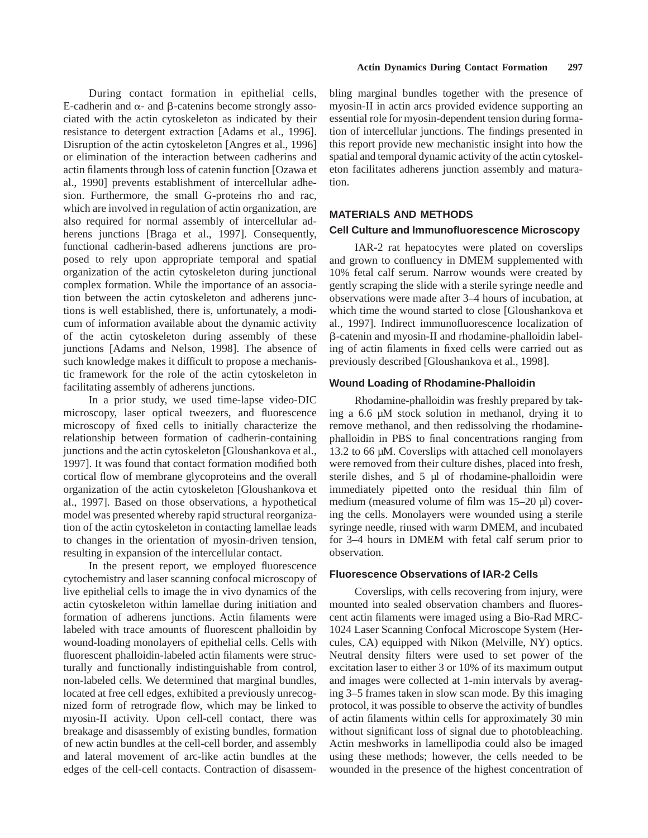During contact formation in epithelial cells, E-cadherin and  $\alpha$ - and B-catenins become strongly associated with the actin cytoskeleton as indicated by their resistance to detergent extraction [Adams et al., 1996]. Disruption of the actin cytoskeleton [Angres et al., 1996] or elimination of the interaction between cadherins and actin filaments through loss of catenin function [Ozawa et al., 1990] prevents establishment of intercellular adhesion. Furthermore, the small G-proteins rho and rac, which are involved in regulation of actin organization, are also required for normal assembly of intercellular adherens junctions [Braga et al., 1997]. Consequently, functional cadherin-based adherens junctions are proposed to rely upon appropriate temporal and spatial organization of the actin cytoskeleton during junctional complex formation. While the importance of an association between the actin cytoskeleton and adherens junctions is well established, there is, unfortunately, a modicum of information available about the dynamic activity of the actin cytoskeleton during assembly of these junctions [Adams and Nelson, 1998]. The absence of such knowledge makes it difficult to propose a mechanistic framework for the role of the actin cytoskeleton in facilitating assembly of adherens junctions.

In a prior study, we used time-lapse video-DIC microscopy, laser optical tweezers, and fluorescence microscopy of fixed cells to initially characterize the relationship between formation of cadherin-containing junctions and the actin cytoskeleton [Gloushankova et al., 1997]. It was found that contact formation modified both cortical flow of membrane glycoproteins and the overall organization of the actin cytoskeleton [Gloushankova et al., 1997]. Based on those observations, a hypothetical model was presented whereby rapid structural reorganization of the actin cytoskeleton in contacting lamellae leads to changes in the orientation of myosin-driven tension, resulting in expansion of the intercellular contact.

In the present report, we employed fluorescence cytochemistry and laser scanning confocal microscopy of live epithelial cells to image the in vivo dynamics of the actin cytoskeleton within lamellae during initiation and formation of adherens junctions. Actin filaments were labeled with trace amounts of fluorescent phalloidin by wound-loading monolayers of epithelial cells. Cells with fluorescent phalloidin-labeled actin filaments were structurally and functionally indistinguishable from control, non-labeled cells. We determined that marginal bundles, located at free cell edges, exhibited a previously unrecognized form of retrograde flow, which may be linked to myosin-II activity. Upon cell-cell contact, there was breakage and disassembly of existing bundles, formation of new actin bundles at the cell-cell border, and assembly and lateral movement of arc-like actin bundles at the edges of the cell-cell contacts. Contraction of disassembling marginal bundles together with the presence of myosin-II in actin arcs provided evidence supporting an essential role for myosin-dependent tension during formation of intercellular junctions. The findings presented in this report provide new mechanistic insight into how the spatial and temporal dynamic activity of the actin cytoskeleton facilitates adherens junction assembly and maturation.

#### **MATERIALS AND METHODS**

#### **Cell Culture and Immunofluorescence Microscopy**

IAR-2 rat hepatocytes were plated on coverslips and grown to confluency in DMEM supplemented with 10% fetal calf serum. Narrow wounds were created by gently scraping the slide with a sterile syringe needle and observations were made after 3–4 hours of incubation, at which time the wound started to close [Gloushankova et al., 1997]. Indirect immunofluorescence localization of b-catenin and myosin-II and rhodamine-phalloidin labeling of actin filaments in fixed cells were carried out as previously described [Gloushankova et al., 1998].

#### **Wound Loading of Rhodamine-Phalloidin**

Rhodamine-phalloidin was freshly prepared by taking a 6.6 µM stock solution in methanol, drying it to remove methanol, and then redissolving the rhodaminephalloidin in PBS to final concentrations ranging from 13.2 to 66 µM. Coverslips with attached cell monolayers were removed from their culture dishes, placed into fresh, sterile dishes, and  $5 \mu l$  of rhodamine-phalloidin were immediately pipetted onto the residual thin film of medium (measured volume of film was 15–20 µl) covering the cells. Monolayers were wounded using a sterile syringe needle, rinsed with warm DMEM, and incubated for 3–4 hours in DMEM with fetal calf serum prior to observation.

#### **Fluorescence Observations of IAR-2 Cells**

Coverslips, with cells recovering from injury, were mounted into sealed observation chambers and fluorescent actin filaments were imaged using a Bio-Rad MRC-1024 Laser Scanning Confocal Microscope System (Hercules, CA) equipped with Nikon (Melville, NY) optics. Neutral density filters were used to set power of the excitation laser to either 3 or 10% of its maximum output and images were collected at 1-min intervals by averaging 3–5 frames taken in slow scan mode. By this imaging protocol, it was possible to observe the activity of bundles of actin filaments within cells for approximately 30 min without significant loss of signal due to photobleaching. Actin meshworks in lamellipodia could also be imaged using these methods; however, the cells needed to be wounded in the presence of the highest concentration of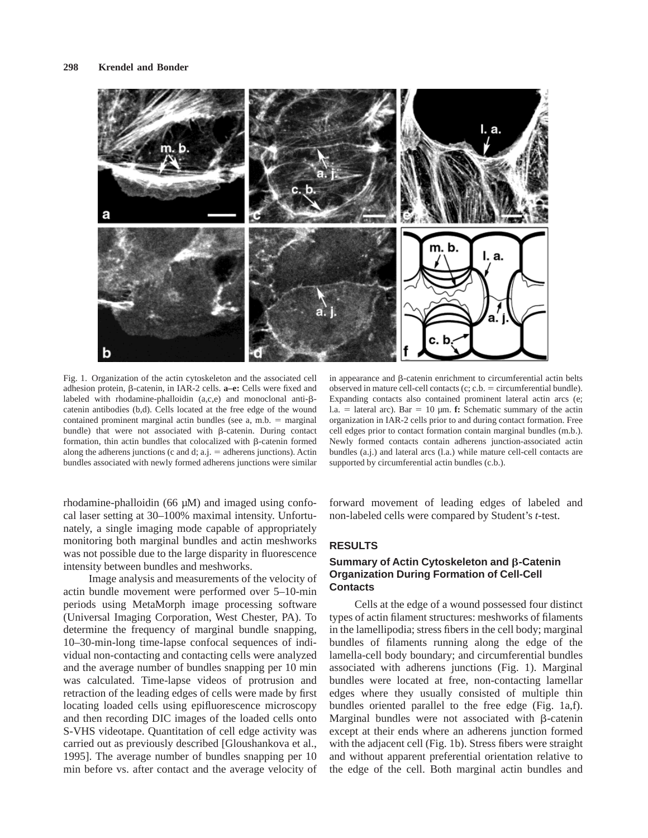m. b. l. a. b

Fig. 1. Organization of the actin cytoskeleton and the associated cell adhesion protein, b-catenin, in IAR-2 cells. **a–e:** Cells were fixed and labeled with rhodamine-phalloidin (a,c,e) and monoclonal anti- $\beta$ catenin antibodies (b,d). Cells located at the free edge of the wound contained prominent marginal actin bundles (see  $a$ , m.b.  $=$  marginal bundle) that were not associated with  $\beta$ -catenin. During contact formation, thin actin bundles that colocalized with  $\beta$ -catenin formed along the adherens junctions (c and d;  $a.j. =$  adherens junctions). Actin bundles associated with newly formed adherens junctions were similar

in appearance and  $\beta$ -catenin enrichment to circumferential actin belts observed in mature cell-cell contacts  $(c; c.b. = circumferential bundle)$ . Expanding contacts also contained prominent lateral actin arcs (e; l.a.  $=$  lateral arc). Bar  $= 10 \mu m$ . **f:** Schematic summary of the actin organization in IAR-2 cells prior to and during contact formation. Free cell edges prior to contact formation contain marginal bundles (m.b.). Newly formed contacts contain adherens junction-associated actin bundles (a.j.) and lateral arcs (l.a.) while mature cell-cell contacts are supported by circumferential actin bundles (c.b.).

l. a.

rhodamine-phalloidin (66 µM) and imaged using confocal laser setting at 30–100% maximal intensity. Unfortunately, a single imaging mode capable of appropriately monitoring both marginal bundles and actin meshworks was not possible due to the large disparity in fluorescence intensity between bundles and meshworks.

Image analysis and measurements of the velocity of actin bundle movement were performed over 5–10-min periods using MetaMorph image processing software (Universal Imaging Corporation, West Chester, PA). To determine the frequency of marginal bundle snapping, 10–30-min-long time-lapse confocal sequences of individual non-contacting and contacting cells were analyzed and the average number of bundles snapping per 10 min was calculated. Time-lapse videos of protrusion and retraction of the leading edges of cells were made by first locating loaded cells using epifluorescence microscopy and then recording DIC images of the loaded cells onto S-VHS videotape. Quantitation of cell edge activity was carried out as previously described [Gloushankova et al., 1995]. The average number of bundles snapping per 10 min before vs. after contact and the average velocity of forward movement of leading edges of labeled and non-labeled cells were compared by Student's *t*-test.

#### **RESULTS**

## **Summary of Actin Cytoskeleton and β-Catenin Organization During Formation of Cell-Cell Contacts**

Cells at the edge of a wound possessed four distinct types of actin filament structures: meshworks of filaments in the lamellipodia; stress fibers in the cell body; marginal bundles of filaments running along the edge of the lamella-cell body boundary; and circumferential bundles associated with adherens junctions (Fig. 1). Marginal bundles were located at free, non-contacting lamellar edges where they usually consisted of multiple thin bundles oriented parallel to the free edge (Fig. 1a,f). Marginal bundles were not associated with  $\beta$ -catenin except at their ends where an adherens junction formed with the adjacent cell (Fig. 1b). Stress fibers were straight and without apparent preferential orientation relative to the edge of the cell. Both marginal actin bundles and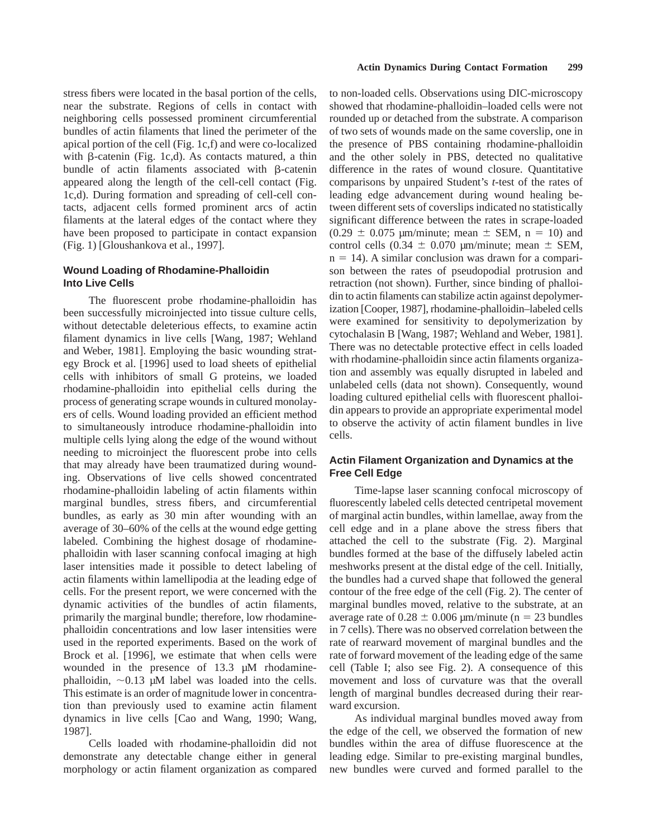stress fibers were located in the basal portion of the cells, near the substrate. Regions of cells in contact with neighboring cells possessed prominent circumferential bundles of actin filaments that lined the perimeter of the apical portion of the cell (Fig. 1c,f) and were co-localized with  $\beta$ -catenin (Fig. 1c,d). As contacts matured, a thin bundle of actin filaments associated with  $\beta$ -catenin appeared along the length of the cell-cell contact (Fig. 1c,d). During formation and spreading of cell-cell contacts, adjacent cells formed prominent arcs of actin filaments at the lateral edges of the contact where they have been proposed to participate in contact expansion (Fig. 1) [Gloushankova et al., 1997].

## **Wound Loading of Rhodamine-Phalloidin Into Live Cells**

The fluorescent probe rhodamine-phalloidin has been successfully microinjected into tissue culture cells, without detectable deleterious effects, to examine actin filament dynamics in live cells [Wang, 1987; Wehland and Weber, 1981]. Employing the basic wounding strategy Brock et al. [1996] used to load sheets of epithelial cells with inhibitors of small G proteins, we loaded rhodamine-phalloidin into epithelial cells during the process of generating scrape wounds in cultured monolayers of cells. Wound loading provided an efficient method to simultaneously introduce rhodamine-phalloidin into multiple cells lying along the edge of the wound without needing to microinject the fluorescent probe into cells that may already have been traumatized during wounding. Observations of live cells showed concentrated rhodamine-phalloidin labeling of actin filaments within marginal bundles, stress fibers, and circumferential bundles, as early as 30 min after wounding with an average of 30–60% of the cells at the wound edge getting labeled. Combining the highest dosage of rhodaminephalloidin with laser scanning confocal imaging at high laser intensities made it possible to detect labeling of actin filaments within lamellipodia at the leading edge of cells. For the present report, we were concerned with the dynamic activities of the bundles of actin filaments, primarily the marginal bundle; therefore, low rhodaminephalloidin concentrations and low laser intensities were used in the reported experiments. Based on the work of Brock et al. [1996], we estimate that when cells were wounded in the presence of 13.3  $\mu$ M rhodaminephalloidin,  $\sim 0.13$  µM label was loaded into the cells. This estimate is an order of magnitude lower in concentration than previously used to examine actin filament dynamics in live cells [Cao and Wang, 1990; Wang, 1987].

Cells loaded with rhodamine-phalloidin did not demonstrate any detectable change either in general morphology or actin filament organization as compared to non-loaded cells. Observations using DIC-microscopy showed that rhodamine-phalloidin–loaded cells were not rounded up or detached from the substrate. A comparison of two sets of wounds made on the same coverslip, one in the presence of PBS containing rhodamine-phalloidin and the other solely in PBS, detected no qualitative difference in the rates of wound closure. Quantitative comparisons by unpaired Student's *t*-test of the rates of leading edge advancement during wound healing between different sets of coverslips indicated no statistically significant difference between the rates in scrape-loaded  $(0.29 \pm 0.075 \mu \text{m/minute}; \text{mean } \pm \text{SEM}, n = 10)$  and control cells  $(0.34 \pm 0.070 \text{ µm/minute}$ ; mean  $\pm$  SEM,  $n = 14$ ). A similar conclusion was drawn for a comparison between the rates of pseudopodial protrusion and retraction (not shown). Further, since binding of phalloidin to actin filaments can stabilize actin against depolymerization [Cooper, 1987], rhodamine-phalloidin–labeled cells were examined for sensitivity to depolymerization by cytochalasin B [Wang, 1987; Wehland and Weber, 1981]. There was no detectable protective effect in cells loaded with rhodamine-phalloidin since actin filaments organization and assembly was equally disrupted in labeled and unlabeled cells (data not shown). Consequently, wound loading cultured epithelial cells with fluorescent phalloidin appears to provide an appropriate experimental model to observe the activity of actin filament bundles in live cells.

# **Actin Filament Organization and Dynamics at the Free Cell Edge**

Time-lapse laser scanning confocal microscopy of fluorescently labeled cells detected centripetal movement of marginal actin bundles, within lamellae, away from the cell edge and in a plane above the stress fibers that attached the cell to the substrate (Fig. 2). Marginal bundles formed at the base of the diffusely labeled actin meshworks present at the distal edge of the cell. Initially, the bundles had a curved shape that followed the general contour of the free edge of the cell (Fig. 2). The center of marginal bundles moved, relative to the substrate, at an average rate of  $0.28 \pm 0.006$  µm/minute (n = 23 bundles in 7 cells). There was no observed correlation between the rate of rearward movement of marginal bundles and the rate of forward movement of the leading edge of the same cell (Table I; also see Fig. 2). A consequence of this movement and loss of curvature was that the overall length of marginal bundles decreased during their rearward excursion.

As individual marginal bundles moved away from the edge of the cell, we observed the formation of new bundles within the area of diffuse fluorescence at the leading edge. Similar to pre-existing marginal bundles, new bundles were curved and formed parallel to the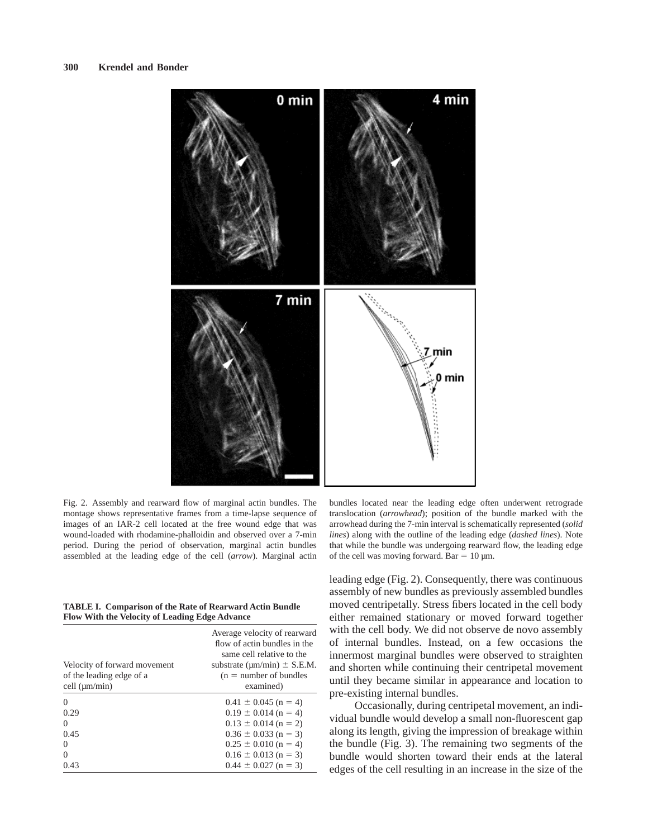

Fig. 2. Assembly and rearward flow of marginal actin bundles. The montage shows representative frames from a time-lapse sequence of images of an IAR-2 cell located at the free wound edge that was wound-loaded with rhodamine-phalloidin and observed over a 7-min period. During the period of observation, marginal actin bundles assembled at the leading edge of the cell (*arrow*). Marginal actin

**TABLE I. Comparison of the Rate of Rearward Actin Bundle Flow With the Velocity of Leading Edge Advance**

|                                                          | Average velocity of rearward<br>flow of actin bundles in the                                    |
|----------------------------------------------------------|-------------------------------------------------------------------------------------------------|
| Velocity of forward movement<br>of the leading edge of a | same cell relative to the<br>substrate ( $\mu$ m/min) $\pm$ S.E.M.<br>$(n = number of bundles)$ |
| cell $(\mu m/min)$                                       | examined)                                                                                       |
| $\Omega$                                                 | $0.41 \pm 0.045$ (n = 4)                                                                        |
| 0.29                                                     | $0.19 \pm 0.014$ (n = 4)                                                                        |
| $\Omega$<br>0.45                                         | $0.13 \pm 0.014$ (n = 2)                                                                        |
| $\Omega$                                                 | $0.36 \pm 0.033$ (n = 3)                                                                        |
| $\Omega$                                                 | $0.25 \pm 0.010$ (n = 4)<br>$0.16 \pm 0.013$ (n = 3)                                            |
| 0.43                                                     | $0.44 \pm 0.027$ (n = 3)                                                                        |

bundles located near the leading edge often underwent retrograde translocation (*arrowhead*); position of the bundle marked with the arrowhead during the 7-min interval is schematically represented (*solid lines*) along with the outline of the leading edge (*dashed lines*). Note that while the bundle was undergoing rearward flow, the leading edge of the cell was moving forward. Bar  $= 10 \mu m$ .

leading edge (Fig. 2). Consequently, there was continuous assembly of new bundles as previously assembled bundles moved centripetally. Stress fibers located in the cell body either remained stationary or moved forward together with the cell body. We did not observe de novo assembly of internal bundles. Instead, on a few occasions the innermost marginal bundles were observed to straighten and shorten while continuing their centripetal movement until they became similar in appearance and location to pre-existing internal bundles.

Occasionally, during centripetal movement, an individual bundle would develop a small non-fluorescent gap along its length, giving the impression of breakage within the bundle (Fig. 3). The remaining two segments of the bundle would shorten toward their ends at the lateral edges of the cell resulting in an increase in the size of the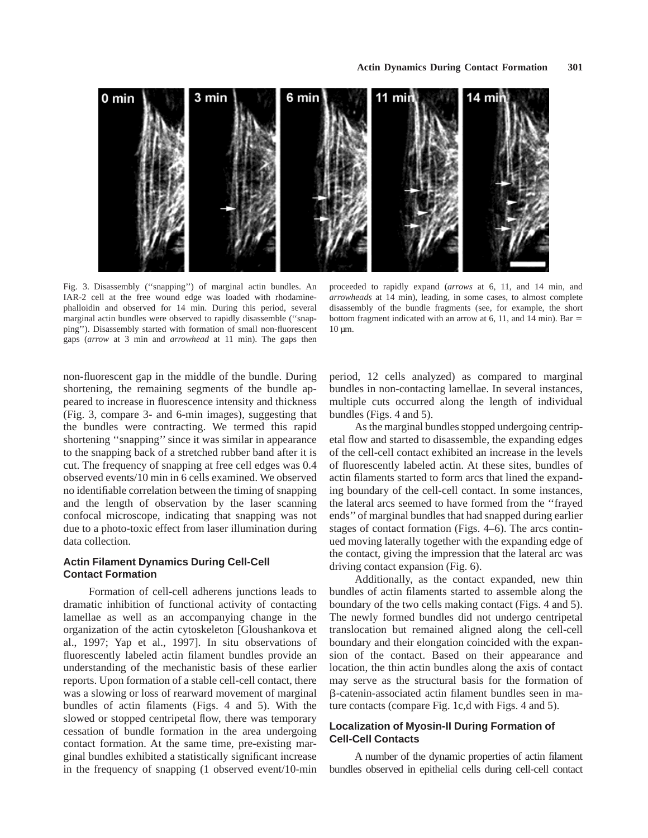

Fig. 3. Disassembly (''snapping'') of marginal actin bundles. An IAR-2 cell at the free wound edge was loaded with rhodaminephalloidin and observed for 14 min. During this period, several marginal actin bundles were observed to rapidly disassemble (''snapping''). Disassembly started with formation of small non-fluorescent gaps (*arrow* at 3 min and *arrowhead* at 11 min). The gaps then

proceeded to rapidly expand (*arrows* at 6, 11, and 14 min, and *arrowheads* at 14 min), leading, in some cases, to almost complete disassembly of the bundle fragments (see, for example, the short bottom fragment indicated with an arrow at 6, 11, and 14 min). Bar  $=$  $10 \mu m$ .

non-fluorescent gap in the middle of the bundle. During shortening, the remaining segments of the bundle appeared to increase in fluorescence intensity and thickness (Fig. 3, compare 3- and 6-min images), suggesting that the bundles were contracting. We termed this rapid shortening ''snapping'' since it was similar in appearance to the snapping back of a stretched rubber band after it is cut. The frequency of snapping at free cell edges was 0.4 observed events/10 min in 6 cells examined. We observed no identifiable correlation between the timing of snapping and the length of observation by the laser scanning confocal microscope, indicating that snapping was not due to a photo-toxic effect from laser illumination during data collection.

# **Actin Filament Dynamics During Cell-Cell Contact Formation**

Formation of cell-cell adherens junctions leads to dramatic inhibition of functional activity of contacting lamellae as well as an accompanying change in the organization of the actin cytoskeleton [Gloushankova et al., 1997; Yap et al., 1997]. In situ observations of fluorescently labeled actin filament bundles provide an understanding of the mechanistic basis of these earlier reports. Upon formation of a stable cell-cell contact, there was a slowing or loss of rearward movement of marginal bundles of actin filaments (Figs. 4 and 5). With the slowed or stopped centripetal flow, there was temporary cessation of bundle formation in the area undergoing contact formation. At the same time, pre-existing marginal bundles exhibited a statistically significant increase in the frequency of snapping (1 observed event/10-min period, 12 cells analyzed) as compared to marginal bundles in non-contacting lamellae. In several instances, multiple cuts occurred along the length of individual bundles (Figs. 4 and 5).

As the marginal bundles stopped undergoing centripetal flow and started to disassemble, the expanding edges of the cell-cell contact exhibited an increase in the levels of fluorescently labeled actin. At these sites, bundles of actin filaments started to form arcs that lined the expanding boundary of the cell-cell contact. In some instances, the lateral arcs seemed to have formed from the ''frayed ends'' of marginal bundles that had snapped during earlier stages of contact formation (Figs. 4–6). The arcs continued moving laterally together with the expanding edge of the contact, giving the impression that the lateral arc was driving contact expansion (Fig. 6).

Additionally, as the contact expanded, new thin bundles of actin filaments started to assemble along the boundary of the two cells making contact (Figs. 4 and 5). The newly formed bundles did not undergo centripetal translocation but remained aligned along the cell-cell boundary and their elongation coincided with the expansion of the contact. Based on their appearance and location, the thin actin bundles along the axis of contact may serve as the structural basis for the formation of b-catenin-associated actin filament bundles seen in mature contacts (compare Fig. 1c,d with Figs. 4 and 5).

# **Localization of Myosin-II During Formation of Cell-Cell Contacts**

A number of the dynamic properties of actin filament bundles observed in epithelial cells during cell-cell contact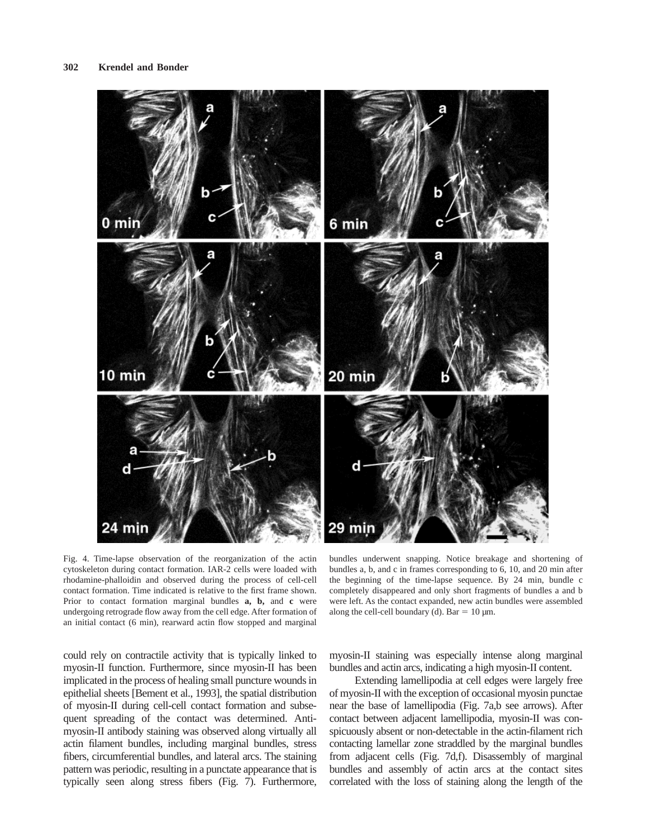

Fig. 4. Time-lapse observation of the reorganization of the actin cytoskeleton during contact formation. IAR-2 cells were loaded with rhodamine-phalloidin and observed during the process of cell-cell contact formation. Time indicated is relative to the first frame shown. Prior to contact formation marginal bundles **a, b,** and **c** were undergoing retrograde flow away from the cell edge. After formation of an initial contact (6 min), rearward actin flow stopped and marginal

bundles underwent snapping. Notice breakage and shortening of bundles a, b, and c in frames corresponding to 6, 10, and 20 min after the beginning of the time-lapse sequence. By 24 min, bundle c completely disappeared and only short fragments of bundles a and b were left. As the contact expanded, new actin bundles were assembled along the cell-cell boundary (d). Bar =  $10 \mu m$ .

could rely on contractile activity that is typically linked to myosin-II function. Furthermore, since myosin-II has been implicated in the process of healing small puncture wounds in epithelial sheets [Bement et al., 1993], the spatial distribution of myosin-II during cell-cell contact formation and subsequent spreading of the contact was determined. Antimyosin-II antibody staining was observed along virtually all actin filament bundles, including marginal bundles, stress fibers, circumferential bundles, and lateral arcs. The staining pattern was periodic, resulting in a punctate appearance that is typically seen along stress fibers (Fig. 7). Furthermore, myosin-II staining was especially intense along marginal bundles and actin arcs, indicating a high myosin-II content.

Extending lamellipodia at cell edges were largely free of myosin-II with the exception of occasional myosin punctae near the base of lamellipodia (Fig. 7a,b see arrows). After contact between adjacent lamellipodia, myosin-II was conspicuously absent or non-detectable in the actin-filament rich contacting lamellar zone straddled by the marginal bundles from adjacent cells (Fig. 7d,f). Disassembly of marginal bundles and assembly of actin arcs at the contact sites correlated with the loss of staining along the length of the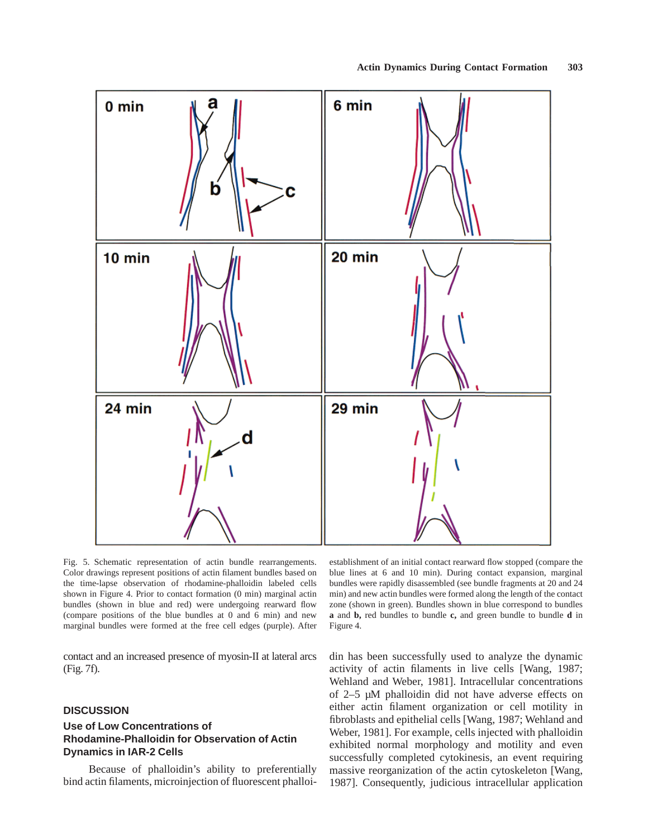

Fig. 5. Schematic representation of actin bundle rearrangements. Color drawings represent positions of actin filament bundles based on the time-lapse observation of rhodamine-phalloidin labeled cells shown in Figure 4. Prior to contact formation (0 min) marginal actin bundles (shown in blue and red) were undergoing rearward flow (compare positions of the blue bundles at 0 and 6 min) and new marginal bundles were formed at the free cell edges (purple). After

contact and an increased presence of myosin-II at lateral arcs (Fig. 7f).

# **DISCUSSION**

# **Use of Low Concentrations of Rhodamine-Phalloidin for Observation of Actin Dynamics in IAR-2 Cells**

Because of phalloidin's ability to preferentially bind actin filaments, microinjection of fluorescent phalloi-

establishment of an initial contact rearward flow stopped (compare the blue lines at 6 and 10 min). During contact expansion, marginal bundles were rapidly disassembled (see bundle fragments at 20 and 24 min) and new actin bundles were formed along the length of the contact zone (shown in green). Bundles shown in blue correspond to bundles **a** and **b,** red bundles to bundle **c,** and green bundle to bundle **d** in Figure 4.

din has been successfully used to analyze the dynamic activity of actin filaments in live cells [Wang, 1987; Wehland and Weber, 1981]. Intracellular concentrations of 2–5 µM phalloidin did not have adverse effects on either actin filament organization or cell motility in fibroblasts and epithelial cells [Wang, 1987; Wehland and Weber, 1981]. For example, cells injected with phalloidin exhibited normal morphology and motility and even successfully completed cytokinesis, an event requiring massive reorganization of the actin cytoskeleton [Wang, 1987]. Consequently, judicious intracellular application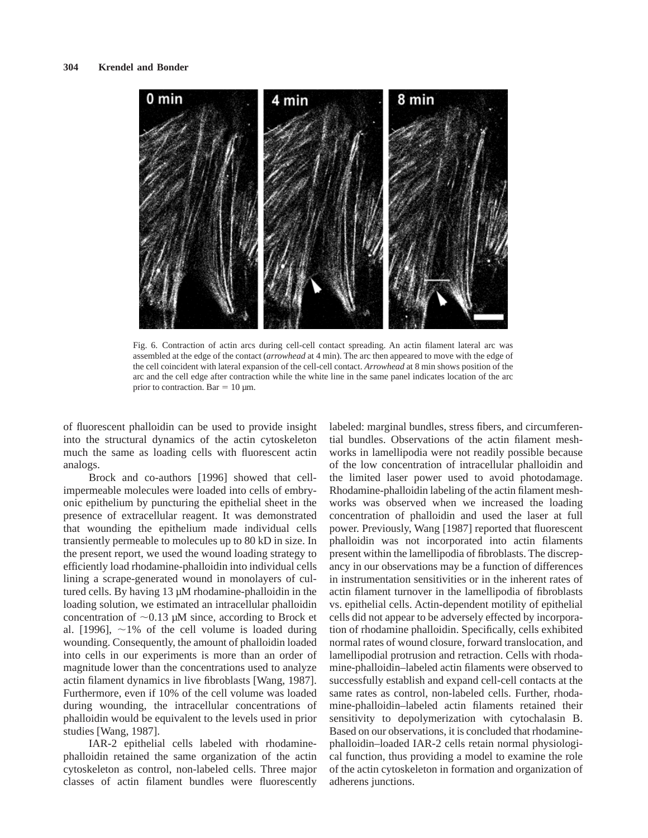

Fig. 6. Contraction of actin arcs during cell-cell contact spreading. An actin filament lateral arc was assembled at the edge of the contact (*arrowhead* at 4 min). The arc then appeared to move with the edge of the cell coincident with lateral expansion of the cell-cell contact. *Arrowhead* at 8 min shows position of the arc and the cell edge after contraction while the white line in the same panel indicates location of the arc prior to contraction. Bar =  $10 \mu m$ .

of fluorescent phalloidin can be used to provide insight into the structural dynamics of the actin cytoskeleton much the same as loading cells with fluorescent actin analogs.

Brock and co-authors [1996] showed that cellimpermeable molecules were loaded into cells of embryonic epithelium by puncturing the epithelial sheet in the presence of extracellular reagent. It was demonstrated that wounding the epithelium made individual cells transiently permeable to molecules up to 80 kD in size. In the present report, we used the wound loading strategy to efficiently load rhodamine-phalloidin into individual cells lining a scrape-generated wound in monolayers of cultured cells. By having 13 µM rhodamine-phalloidin in the loading solution, we estimated an intracellular phalloidin concentration of  $\sim$ 0.13 µM since, according to Brock et al. [1996],  $\sim$ 1% of the cell volume is loaded during wounding. Consequently, the amount of phalloidin loaded into cells in our experiments is more than an order of magnitude lower than the concentrations used to analyze actin filament dynamics in live fibroblasts [Wang, 1987]. Furthermore, even if 10% of the cell volume was loaded during wounding, the intracellular concentrations of phalloidin would be equivalent to the levels used in prior studies [Wang, 1987].

IAR-2 epithelial cells labeled with rhodaminephalloidin retained the same organization of the actin cytoskeleton as control, non-labeled cells. Three major classes of actin filament bundles were fluorescently

labeled: marginal bundles, stress fibers, and circumferential bundles. Observations of the actin filament meshworks in lamellipodia were not readily possible because of the low concentration of intracellular phalloidin and the limited laser power used to avoid photodamage. Rhodamine-phalloidin labeling of the actin filament meshworks was observed when we increased the loading concentration of phalloidin and used the laser at full power. Previously, Wang [1987] reported that fluorescent phalloidin was not incorporated into actin filaments present within the lamellipodia of fibroblasts. The discrepancy in our observations may be a function of differences in instrumentation sensitivities or in the inherent rates of actin filament turnover in the lamellipodia of fibroblasts vs. epithelial cells. Actin-dependent motility of epithelial cells did not appear to be adversely effected by incorporation of rhodamine phalloidin. Specifically, cells exhibited normal rates of wound closure, forward translocation, and lamellipodial protrusion and retraction. Cells with rhodamine-phalloidin–labeled actin filaments were observed to successfully establish and expand cell-cell contacts at the same rates as control, non-labeled cells. Further, rhodamine-phalloidin–labeled actin filaments retained their sensitivity to depolymerization with cytochalasin B. Based on our observations, it is concluded that rhodaminephalloidin–loaded IAR-2 cells retain normal physiological function, thus providing a model to examine the role of the actin cytoskeleton in formation and organization of adherens junctions.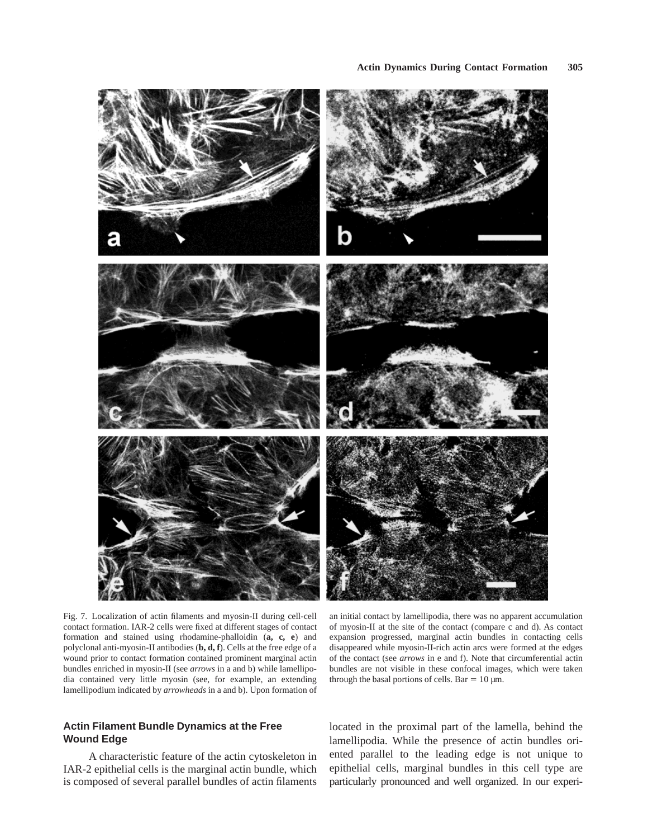

Fig. 7. Localization of actin filaments and myosin-II during cell-cell contact formation. IAR-2 cells were fixed at different stages of contact formation and stained using rhodamine-phalloidin (**a, c, e**) and polyclonal anti-myosin-II antibodies (**b, d, f**). Cells at the free edge of a wound prior to contact formation contained prominent marginal actin bundles enriched in myosin-II (see *arrows* in a and b) while lamellipodia contained very little myosin (see, for example, an extending lamellipodium indicated by *arrowheads* in a and b). Upon formation of

an initial contact by lamellipodia, there was no apparent accumulation of myosin-II at the site of the contact (compare c and d). As contact expansion progressed, marginal actin bundles in contacting cells disappeared while myosin-II-rich actin arcs were formed at the edges of the contact (see *arrows* in e and f). Note that circumferential actin bundles are not visible in these confocal images, which were taken through the basal portions of cells. Bar =  $10 \mu m$ .

# **Actin Filament Bundle Dynamics at the Free Wound Edge**

A characteristic feature of the actin cytoskeleton in IAR-2 epithelial cells is the marginal actin bundle, which is composed of several parallel bundles of actin filaments located in the proximal part of the lamella, behind the lamellipodia. While the presence of actin bundles oriented parallel to the leading edge is not unique to epithelial cells, marginal bundles in this cell type are particularly pronounced and well organized. In our experi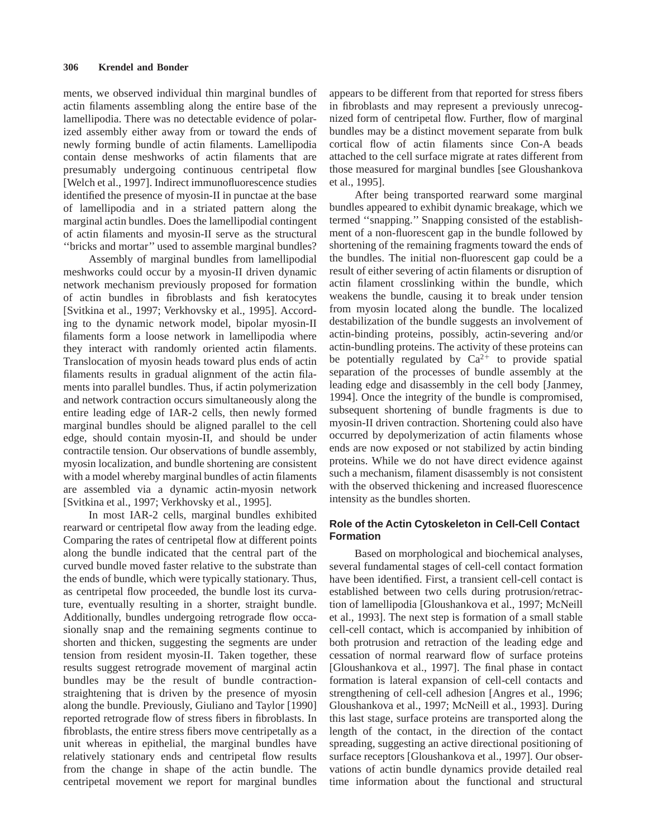ments, we observed individual thin marginal bundles of actin filaments assembling along the entire base of the lamellipodia. There was no detectable evidence of polarized assembly either away from or toward the ends of newly forming bundle of actin filaments. Lamellipodia contain dense meshworks of actin filaments that are presumably undergoing continuous centripetal flow [Welch et al., 1997]. Indirect immunofluorescence studies identified the presence of myosin-II in punctae at the base of lamellipodia and in a striated pattern along the marginal actin bundles. Does the lamellipodial contingent of actin filaments and myosin-II serve as the structural ''bricks and mortar'' used to assemble marginal bundles?

Assembly of marginal bundles from lamellipodial meshworks could occur by a myosin-II driven dynamic network mechanism previously proposed for formation of actin bundles in fibroblasts and fish keratocytes [Svitkina et al., 1997; Verkhovsky et al., 1995]. According to the dynamic network model, bipolar myosin-II filaments form a loose network in lamellipodia where they interact with randomly oriented actin filaments. Translocation of myosin heads toward plus ends of actin filaments results in gradual alignment of the actin filaments into parallel bundles. Thus, if actin polymerization and network contraction occurs simultaneously along the entire leading edge of IAR-2 cells, then newly formed marginal bundles should be aligned parallel to the cell edge, should contain myosin-II, and should be under contractile tension. Our observations of bundle assembly, myosin localization, and bundle shortening are consistent with a model whereby marginal bundles of actin filaments are assembled via a dynamic actin-myosin network [Svitkina et al., 1997; Verkhovsky et al., 1995].

In most IAR-2 cells, marginal bundles exhibited rearward or centripetal flow away from the leading edge. Comparing the rates of centripetal flow at different points along the bundle indicated that the central part of the curved bundle moved faster relative to the substrate than the ends of bundle, which were typically stationary. Thus, as centripetal flow proceeded, the bundle lost its curvature, eventually resulting in a shorter, straight bundle. Additionally, bundles undergoing retrograde flow occasionally snap and the remaining segments continue to shorten and thicken, suggesting the segments are under tension from resident myosin-II. Taken together, these results suggest retrograde movement of marginal actin bundles may be the result of bundle contractionstraightening that is driven by the presence of myosin along the bundle. Previously, Giuliano and Taylor [1990] reported retrograde flow of stress fibers in fibroblasts. In fibroblasts, the entire stress fibers move centripetally as a unit whereas in epithelial, the marginal bundles have relatively stationary ends and centripetal flow results from the change in shape of the actin bundle. The centripetal movement we report for marginal bundles appears to be different from that reported for stress fibers in fibroblasts and may represent a previously unrecognized form of centripetal flow. Further, flow of marginal bundles may be a distinct movement separate from bulk cortical flow of actin filaments since Con-A beads attached to the cell surface migrate at rates different from those measured for marginal bundles [see Gloushankova et al., 1995].

After being transported rearward some marginal bundles appeared to exhibit dynamic breakage, which we termed ''snapping.'' Snapping consisted of the establishment of a non-fluorescent gap in the bundle followed by shortening of the remaining fragments toward the ends of the bundles. The initial non-fluorescent gap could be a result of either severing of actin filaments or disruption of actin filament crosslinking within the bundle, which weakens the bundle, causing it to break under tension from myosin located along the bundle. The localized destabilization of the bundle suggests an involvement of actin-binding proteins, possibly, actin-severing and/or actin-bundling proteins. The activity of these proteins can be potentially regulated by  $Ca^{2+}$  to provide spatial separation of the processes of bundle assembly at the leading edge and disassembly in the cell body [Janmey, 1994]. Once the integrity of the bundle is compromised, subsequent shortening of bundle fragments is due to myosin-II driven contraction. Shortening could also have occurred by depolymerization of actin filaments whose ends are now exposed or not stabilized by actin binding proteins. While we do not have direct evidence against such a mechanism, filament disassembly is not consistent with the observed thickening and increased fluorescence intensity as the bundles shorten.

## **Role of the Actin Cytoskeleton in Cell-Cell Contact Formation**

Based on morphological and biochemical analyses, several fundamental stages of cell-cell contact formation have been identified. First, a transient cell-cell contact is established between two cells during protrusion/retraction of lamellipodia [Gloushankova et al., 1997; McNeill et al., 1993]. The next step is formation of a small stable cell-cell contact, which is accompanied by inhibition of both protrusion and retraction of the leading edge and cessation of normal rearward flow of surface proteins [Gloushankova et al., 1997]. The final phase in contact formation is lateral expansion of cell-cell contacts and strengthening of cell-cell adhesion [Angres et al., 1996; Gloushankova et al., 1997; McNeill et al., 1993]. During this last stage, surface proteins are transported along the length of the contact, in the direction of the contact spreading, suggesting an active directional positioning of surface receptors [Gloushankova et al., 1997]. Our observations of actin bundle dynamics provide detailed real time information about the functional and structural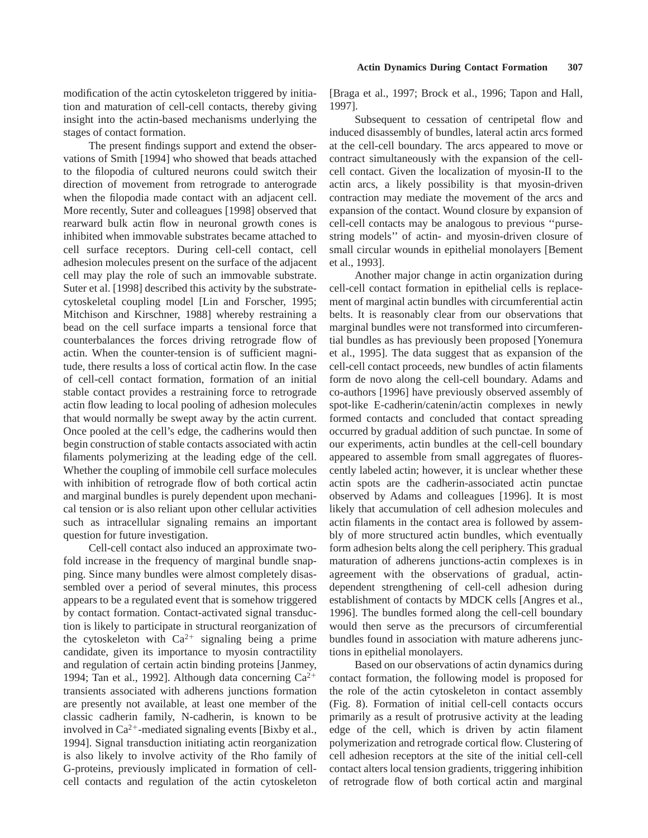modification of the actin cytoskeleton triggered by initiation and maturation of cell-cell contacts, thereby giving insight into the actin-based mechanisms underlying the stages of contact formation.

The present findings support and extend the observations of Smith [1994] who showed that beads attached to the filopodia of cultured neurons could switch their direction of movement from retrograde to anterograde when the filopodia made contact with an adjacent cell. More recently, Suter and colleagues [1998] observed that rearward bulk actin flow in neuronal growth cones is inhibited when immovable substrates became attached to cell surface receptors. During cell-cell contact, cell adhesion molecules present on the surface of the adjacent cell may play the role of such an immovable substrate. Suter et al. [1998] described this activity by the substratecytoskeletal coupling model [Lin and Forscher, 1995; Mitchison and Kirschner, 1988] whereby restraining a bead on the cell surface imparts a tensional force that counterbalances the forces driving retrograde flow of actin. When the counter-tension is of sufficient magnitude, there results a loss of cortical actin flow. In the case of cell-cell contact formation, formation of an initial stable contact provides a restraining force to retrograde actin flow leading to local pooling of adhesion molecules that would normally be swept away by the actin current. Once pooled at the cell's edge, the cadherins would then begin construction of stable contacts associated with actin filaments polymerizing at the leading edge of the cell. Whether the coupling of immobile cell surface molecules with inhibition of retrograde flow of both cortical actin and marginal bundles is purely dependent upon mechanical tension or is also reliant upon other cellular activities such as intracellular signaling remains an important question for future investigation.

Cell-cell contact also induced an approximate twofold increase in the frequency of marginal bundle snapping. Since many bundles were almost completely disassembled over a period of several minutes, this process appears to be a regulated event that is somehow triggered by contact formation. Contact-activated signal transduction is likely to participate in structural reorganization of the cytoskeleton with  $Ca^{2+}$  signaling being a prime candidate, given its importance to myosin contractility and regulation of certain actin binding proteins [Janmey, 1994; Tan et al., 1992]. Although data concerning  $Ca^{2+}$ transients associated with adherens junctions formation are presently not available, at least one member of the classic cadherin family, N-cadherin, is known to be involved in  $Ca^{2+}$ -mediated signaling events [Bixby et al., 1994]. Signal transduction initiating actin reorganization is also likely to involve activity of the Rho family of G-proteins, previously implicated in formation of cellcell contacts and regulation of the actin cytoskeleton [Braga et al., 1997; Brock et al., 1996; Tapon and Hall, 1997].

Subsequent to cessation of centripetal flow and induced disassembly of bundles, lateral actin arcs formed at the cell-cell boundary. The arcs appeared to move or contract simultaneously with the expansion of the cellcell contact. Given the localization of myosin-II to the actin arcs, a likely possibility is that myosin-driven contraction may mediate the movement of the arcs and expansion of the contact. Wound closure by expansion of cell-cell contacts may be analogous to previous ''pursestring models'' of actin- and myosin-driven closure of small circular wounds in epithelial monolayers [Bement et al., 1993].

Another major change in actin organization during cell-cell contact formation in epithelial cells is replacement of marginal actin bundles with circumferential actin belts. It is reasonably clear from our observations that marginal bundles were not transformed into circumferential bundles as has previously been proposed [Yonemura et al., 1995]. The data suggest that as expansion of the cell-cell contact proceeds, new bundles of actin filaments form de novo along the cell-cell boundary. Adams and co-authors [1996] have previously observed assembly of spot-like E-cadherin/catenin/actin complexes in newly formed contacts and concluded that contact spreading occurred by gradual addition of such punctae. In some of our experiments, actin bundles at the cell-cell boundary appeared to assemble from small aggregates of fluorescently labeled actin; however, it is unclear whether these actin spots are the cadherin-associated actin punctae observed by Adams and colleagues [1996]. It is most likely that accumulation of cell adhesion molecules and actin filaments in the contact area is followed by assembly of more structured actin bundles, which eventually form adhesion belts along the cell periphery. This gradual maturation of adherens junctions-actin complexes is in agreement with the observations of gradual, actindependent strengthening of cell-cell adhesion during establishment of contacts by MDCK cells [Angres et al., 1996]. The bundles formed along the cell-cell boundary would then serve as the precursors of circumferential bundles found in association with mature adherens junctions in epithelial monolayers.

Based on our observations of actin dynamics during contact formation, the following model is proposed for the role of the actin cytoskeleton in contact assembly (Fig. 8). Formation of initial cell-cell contacts occurs primarily as a result of protrusive activity at the leading edge of the cell, which is driven by actin filament polymerization and retrograde cortical flow. Clustering of cell adhesion receptors at the site of the initial cell-cell contact alters local tension gradients, triggering inhibition of retrograde flow of both cortical actin and marginal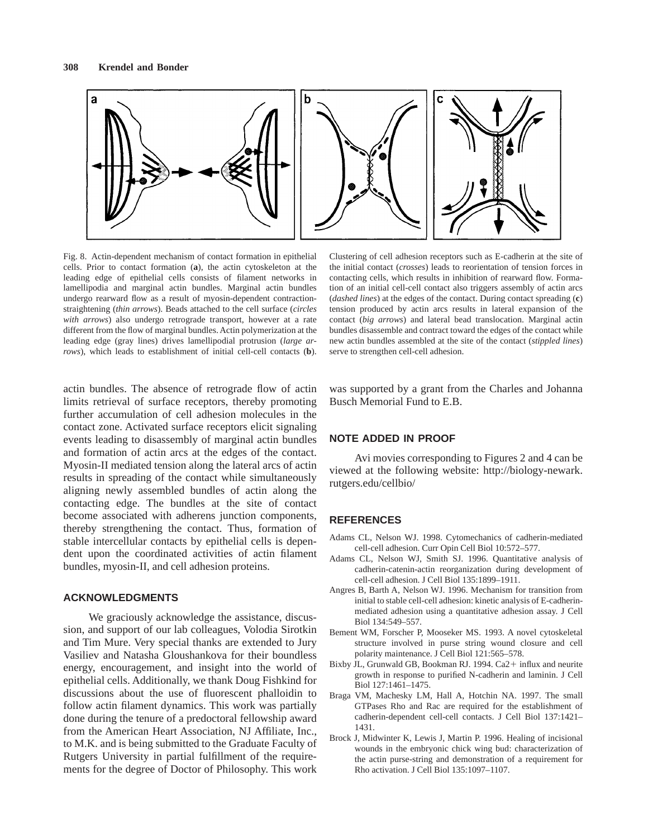

Fig. 8. Actin-dependent mechanism of contact formation in epithelial cells. Prior to contact formation (**a**), the actin cytoskeleton at the leading edge of epithelial cells consists of filament networks in lamellipodia and marginal actin bundles. Marginal actin bundles undergo rearward flow as a result of myosin-dependent contractionstraightening (*thin arrows*). Beads attached to the cell surface (*circles with arrows*) also undergo retrograde transport, however at a rate different from the flow of marginal bundles. Actin polymerization at the leading edge (gray lines) drives lamellipodial protrusion (*large arrows*), which leads to establishment of initial cell-cell contacts (**b**).

actin bundles. The absence of retrograde flow of actin limits retrieval of surface receptors, thereby promoting further accumulation of cell adhesion molecules in the contact zone. Activated surface receptors elicit signaling events leading to disassembly of marginal actin bundles and formation of actin arcs at the edges of the contact. Myosin-II mediated tension along the lateral arcs of actin results in spreading of the contact while simultaneously aligning newly assembled bundles of actin along the contacting edge. The bundles at the site of contact become associated with adherens junction components, thereby strengthening the contact. Thus, formation of stable intercellular contacts by epithelial cells is dependent upon the coordinated activities of actin filament bundles, myosin-II, and cell adhesion proteins.

#### **ACKNOWLEDGMENTS**

We graciously acknowledge the assistance, discussion, and support of our lab colleagues, Volodia Sirotkin and Tim Mure. Very special thanks are extended to Jury Vasiliev and Natasha Gloushankova for their boundless energy, encouragement, and insight into the world of epithelial cells. Additionally, we thank Doug Fishkind for discussions about the use of fluorescent phalloidin to follow actin filament dynamics. This work was partially done during the tenure of a predoctoral fellowship award from the American Heart Association, NJ Affiliate, Inc., to M.K. and is being submitted to the Graduate Faculty of Rutgers University in partial fulfillment of the requirements for the degree of Doctor of Philosophy. This work

Clustering of cell adhesion receptors such as E-cadherin at the site of the initial contact (*crosses*) leads to reorientation of tension forces in contacting cells, which results in inhibition of rearward flow. Formation of an initial cell-cell contact also triggers assembly of actin arcs (*dashed lines*) at the edges of the contact. During contact spreading (**c**) tension produced by actin arcs results in lateral expansion of the contact (*big arrows*) and lateral bead translocation. Marginal actin bundles disassemble and contract toward the edges of the contact while new actin bundles assembled at the site of the contact (*stippled lines*) serve to strengthen cell-cell adhesion.

was supported by a grant from the Charles and Johanna Busch Memorial Fund to E.B.

## **NOTE ADDED IN PROOF**

Avi movies corresponding to Figures 2 and 4 can be viewed at the following website: http://biology-newark. rutgers.edu/cellbio/

#### **REFERENCES**

- Adams CL, Nelson WJ. 1998. Cytomechanics of cadherin-mediated cell-cell adhesion. Curr Opin Cell Biol 10:572–577.
- Adams CL, Nelson WJ, Smith SJ. 1996. Quantitative analysis of cadherin-catenin-actin reorganization during development of cell-cell adhesion. J Cell Biol 135:1899–1911.
- Angres B, Barth A, Nelson WJ. 1996. Mechanism for transition from initial to stable cell-cell adhesion: kinetic analysis of E-cadherinmediated adhesion using a quantitative adhesion assay. J Cell Biol 134:549–557.
- Bement WM, Forscher P, Mooseker MS. 1993. A novel cytoskeletal structure involved in purse string wound closure and cell polarity maintenance. J Cell Biol 121:565–578.
- Bixby JL, Grunwald GB, Bookman RJ. 1994. Ca2+ influx and neurite growth in response to purified N-cadherin and laminin. J Cell Biol 127:1461–1475.
- Braga VM, Machesky LM, Hall A, Hotchin NA. 1997. The small GTPases Rho and Rac are required for the establishment of cadherin-dependent cell-cell contacts. J Cell Biol 137:1421– 1431.
- Brock J, Midwinter K, Lewis J, Martin P. 1996. Healing of incisional wounds in the embryonic chick wing bud: characterization of the actin purse-string and demonstration of a requirement for Rho activation. J Cell Biol 135:1097–1107.